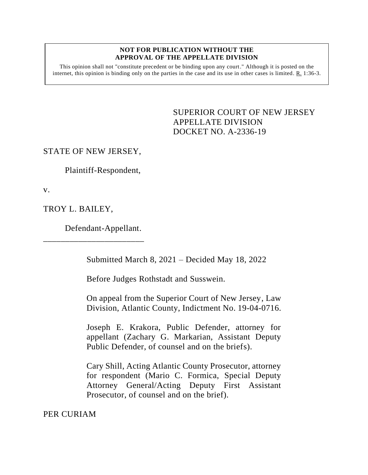#### **NOT FOR PUBLICATION WITHOUT THE APPROVAL OF THE APPELLATE DIVISION**

This opinion shall not "constitute precedent or be binding upon any court." Although it is posted on the internet, this opinion is binding only on the parties in the case and its use in other cases is limited.  $R_1$  1:36-3.

> <span id="page-0-0"></span>SUPERIOR COURT OF NEW JERSEY APPELLATE DIVISION DOCKET NO. A-2336-19

## STATE OF NEW JERSEY,

Plaintiff-Respondent,

v.

TROY L. BAILEY,

Defendant-Appellant.

\_\_\_\_\_\_\_\_\_\_\_\_\_\_\_\_\_\_\_\_\_\_\_

Submitted March 8, 2021 – Decided May 18, 2022

Before Judges Rothstadt and Susswein.

On appeal from the Superior Court of New Jersey, Law Division, Atlantic County, Indictment No. 19-04-0716.

Joseph E. Krakora, Public Defender, attorney for appellant (Zachary G. Markarian, Assistant Deputy Public Defender, of counsel and on the briefs).

Cary Shill, Acting Atlantic County Prosecutor, attorney for respondent (Mario C. Formica, Special Deputy Attorney General/Acting Deputy First Assistant Prosecutor, of counsel and on the brief).

PER CURIAM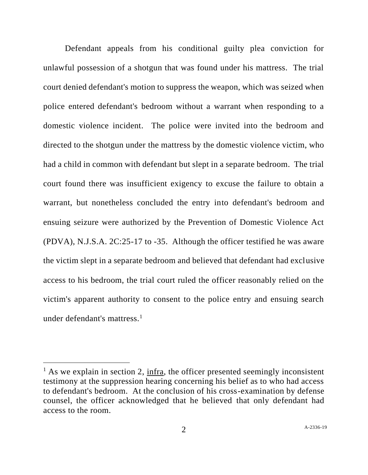Defendant appeals from his conditional guilty plea conviction for unlawful possession of a shotgun that was found under his mattress. The trial court denied defendant's motion to suppress the weapon, which was seized when police entered defendant's bedroom without a warrant when responding to a domestic violence incident. The police were invited into the bedroom and directed to the shotgun under the mattress by the domestic violence victim, who had a child in common with defendant but slept in a separate bedroom. The trial court found there was insufficient exigency to excuse the failure to obtain a warrant, but nonetheless concluded the entry into defendant's bedroom and ensuing seizure were authorized by the Prevention of Domestic Violence Act (PDVA), N.J.S.A. 2C:25-17 to -35. Although the officer testified he was aware the victim slept in a separate bedroom and believed that defendant had exclusive access to his bedroom, the trial court ruled the officer reasonably relied on the victim's apparent authority to consent to the police entry and ensuing search under defendant's mattress. $<sup>1</sup>$ </sup>

 $<sup>1</sup>$  As we explain in section 2, infra, the officer presented seemingly inconsistent</sup> testimony at the suppression hearing concerning his belief as to who had access to defendant's bedroom. At the conclusion of his cross-examination by defense counsel, the officer acknowledged that he believed that only defendant had access to the room.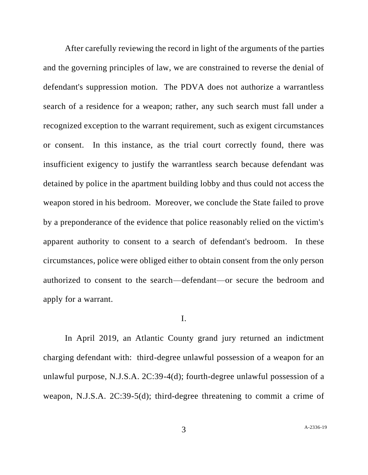After carefully reviewing the record in light of the arguments of the parties and the governing principles of law, we are constrained to reverse the denial of defendant's suppression motion. The PDVA does not authorize a warrantless search of a residence for a weapon; rather, any such search must fall under a recognized exception to the warrant requirement, such as exigent circumstances or consent. In this instance, as the trial court correctly found, there was insufficient exigency to justify the warrantless search because defendant was detained by police in the apartment building lobby and thus could not access the weapon stored in his bedroom. Moreover, we conclude the State failed to prove by a preponderance of the evidence that police reasonably relied on the victim's apparent authority to consent to a search of defendant's bedroom. In these circumstances, police were obliged either to obtain consent from the only person authorized to consent to the search—defendant—or secure the bedroom and apply for a warrant.

### I.

In April 2019, an Atlantic County grand jury returned an indictment charging defendant with: third-degree unlawful possession of a weapon for an unlawful purpose, N.J.S.A. 2C:39-4(d); fourth-degree unlawful possession of a weapon, N.J.S.A. 2C:39-5(d); third-degree threatening to commit a crime of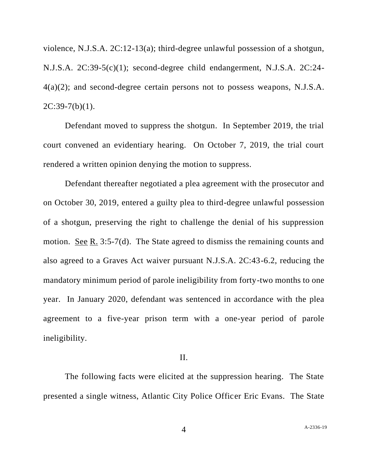violence, N.J.S.A. 2C:12-13(a); third-degree unlawful possession of a shotgun, N.J.S.A. 2C:39-5(c)(1); second-degree child endangerment, N.J.S.A. 2C:24- 4(a)(2); and second-degree certain persons not to possess weapons, N.J.S.A.  $2C:39-7(b)(1)$ .

Defendant moved to suppress the shotgun. In September 2019, the trial court convened an evidentiary hearing. On October 7, 2019, the trial court rendered a written opinion denying the motion to suppress.

Defendant thereafter negotiated a plea agreement with the prosecutor and on October 30, 2019, entered a guilty plea to third-degree unlawful possession of a shotgun, preserving the right to challenge the denial of his suppression motion. See R. 3:5-7(d). The State agreed to dismiss the remaining counts and also agreed to a Graves Act waiver pursuant N.J.S.A. 2C:43-6.2, reducing the mandatory minimum period of parole ineligibility from forty-two months to one year. In January 2020, defendant was sentenced in accordance with the plea agreement to a five-year prison term with a one-year period of parole ineligibility.

### II.

The following facts were elicited at the suppression hearing. The State presented a single witness, Atlantic City Police Officer Eric Evans. The State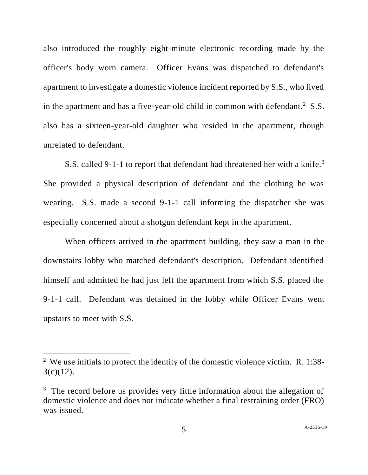also introduced the roughly eight-minute electronic recording made by the officer's body worn camera. Officer Evans was dispatched to defendant's apartment to investigate a domestic violence incident reported by S.S., who lived in the apartment and has a five-year-old child in common with defendant.<sup>2</sup> S.S. also has a sixteen-year-old daughter who resided in the apartment, though unrelated to defendant.

S.S. called 9-1-1 to report that defendant had threatened her with a knife.<sup>3</sup> She provided a physical description of defendant and the clothing he was wearing. S.S. made a second 9-1-1 call informing the dispatcher she was especially concerned about a shotgun defendant kept in the apartment.

When officers arrived in the apartment building, they saw a man in the downstairs lobby who matched defendant's description. Defendant identified himself and admitted he had just left the apartment from which S.S. placed the 9-1-1 call. Defendant was detained in the lobby while Officer Evans went upstairs to meet with S.S.

<sup>&</sup>lt;sup>2</sup> We use initials to protect the identity of the domestic violence victim.  $R_1$  1:38- $3(c)(12)$ .

 $3$  The record before us provides very little information about the allegation of domestic violence and does not indicate whether a final restraining order (FRO) was issued.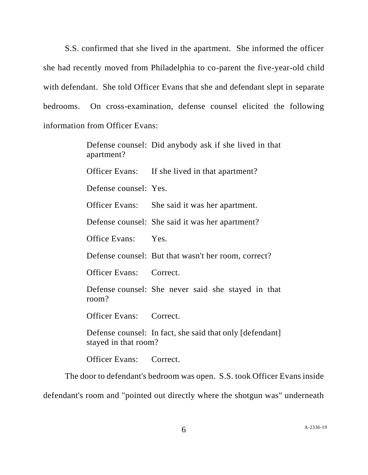S.S. confirmed that she lived in the apartment. She informed the officer she had recently moved from Philadelphia to co-parent the five-year-old child with defendant. She told Officer Evans that she and defendant slept in separate bedrooms. On cross-examination, defense counsel elicited the following information from Officer Evans:

> Defense counsel: Did anybody ask if she lived in that apartment? Officer Evans: If she lived in that apartment? Defense counsel: Yes. Officer Evans: She said it was her apartment. Defense counsel: She said it was her apartment? Office Evans: Yes. Defense counsel: But that wasn't her room, correct? Officer Evans: Correct. Defense counsel: She never said she stayed in that room? Officer Evans: Correct. Defense counsel: In fact, she said that only [defendant] stayed in that room?

Officer Evans: Correct.

The door to defendant's bedroom was open. S.S. took Officer Evans inside defendant's room and "pointed out directly where the shotgun was" underneath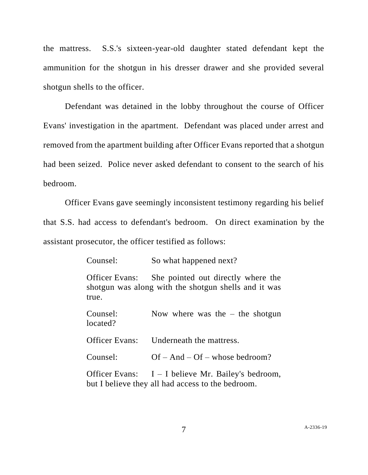the mattress. S.S.'s sixteen-year-old daughter stated defendant kept the ammunition for the shotgun in his dresser drawer and she provided several shotgun shells to the officer.

Defendant was detained in the lobby throughout the course of Officer Evans' investigation in the apartment. Defendant was placed under arrest and removed from the apartment building after Officer Evans reported that a shotgun had been seized. Police never asked defendant to consent to the search of his bedroom.

Officer Evans gave seemingly inconsistent testimony regarding his belief that S.S. had access to defendant's bedroom. On direct examination by the assistant prosecutor, the officer testified as follows:

| Counsel:             | So what happened next?                                                                                    |
|----------------------|-----------------------------------------------------------------------------------------------------------|
| true.                | Officer Evans: She pointed out directly where the<br>shotgun was along with the shotgun shells and it was |
| Counsel:<br>located? | Now where was the $-$ the shotgun                                                                         |
| Officer Evans:       | Underneath the mattress.                                                                                  |
| Counsel:             | $Of - And - Of - whose bedroom?$                                                                          |
|                      | Officer Evans: $I - I$ believe Mr. Bailey's bedroom,<br>but I believe they all had access to the bedroom. |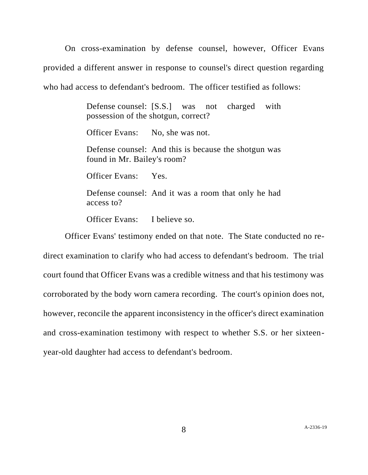On cross-examination by defense counsel, however, Officer Evans provided a different answer in response to counsel's direct question regarding who had access to defendant's bedroom. The officer testified as follows:

> Defense counsel: [S.S.] was not charged with possession of the shotgun, correct?

Officer Evans: No, she was not.

Defense counsel: And this is because the shotgun was found in Mr. Bailey's room?

Officer Evans: Yes.

Defense counsel: And it was a room that only he had access to?

Officer Evans: I believe so.

Officer Evans' testimony ended on that note. The State conducted no redirect examination to clarify who had access to defendant's bedroom. The trial court found that Officer Evans was a credible witness and that his testimony was corroborated by the body worn camera recording. The court's opinion does not, however, reconcile the apparent inconsistency in the officer's direct examination and cross-examination testimony with respect to whether S.S. or her sixteenyear-old daughter had access to defendant's bedroom.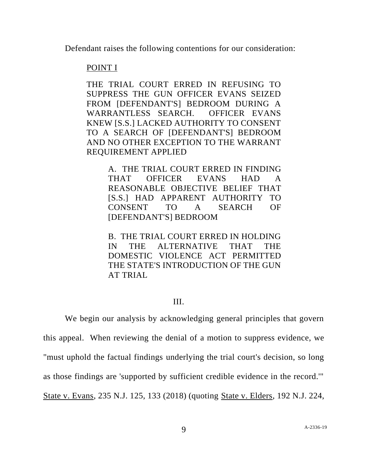Defendant raises the following contentions for our consideration:

# POINT I

THE TRIAL COURT ERRED IN REFUSING TO SUPPRESS THE GUN OFFICER EVANS SEIZED FROM [DEFENDANT'S] BEDROOM DURING A WARRANTLESS SEARCH. OFFICER EVANS KNEW [S.S.] LACKED AUTHORITY TO CONSENT TO A SEARCH OF [DEFENDANT'S] BEDROOM AND NO OTHER EXCEPTION TO THE WARRANT REQUIREMENT APPLIED

> A. THE TRIAL COURT ERRED IN FINDING THAT OFFICER EVANS HAD A REASONABLE OBJECTIVE BELIEF THAT [S.S.] HAD APPARENT AUTHORITY TO CONSENT TO A SEARCH OF [DEFENDANT'S] BEDROOM

> B. THE TRIAL COURT ERRED IN HOLDING IN THE ALTERNATIVE THAT THE DOMESTIC VIOLENCE ACT PERMITTED THE STATE'S INTRODUCTION OF THE GUN AT TRIAL

# III.

We begin our analysis by acknowledging general principles that govern this appeal. When reviewing the denial of a motion to suppress evidence, we "must uphold the factual findings underlying the trial court's decision, so long as those findings are 'supported by sufficient credible evidence in the record.'" State v. Evans, 235 N.J. 125, 133 (2018) (quoting State v. Elders, 192 N.J. 224,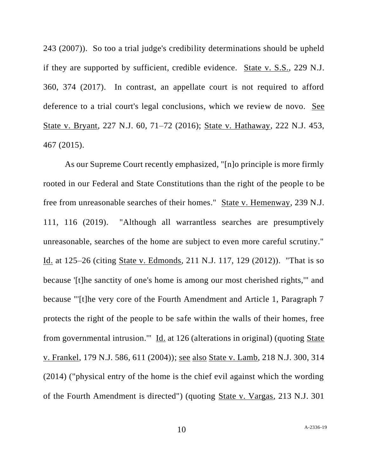243 (2007)). So too a trial judge's credibility determinations should be upheld if they are supported by sufficient, credible evidence. State v. S.S., 229 N.J. 360, 374 (2017). In contrast, an appellate court is not required to afford deference to a trial court's legal conclusions, which we review de novo. See State v. Bryant, 227 N.J. 60, 71–72 (2016); State v. Hathaway, 222 N.J. 453, 467 (2015).

As our Supreme Court recently emphasized, "[n]o principle is more firmly rooted in our Federal and State Constitutions than the right of the people to be free from unreasonable searches of their homes." State v. Hemenway, 239 N.J. 111, 116 (2019). "Although all warrantless searches are presumptively unreasonable, searches of the home are subject to even more careful scrutiny." Id. at 125–26 (citing State v. Edmonds, 211 N.J. 117, 129 (2012)). "That is so because '[t]he sanctity of one's home is among our most cherished rights,'" and because "'[t]he very core of the Fourth Amendment and Article 1, Paragraph 7 protects the right of the people to be safe within the walls of their homes, free from governmental intrusion.'" Id. at 126 (alterations in original) (quoting State v. Frankel, 179 N.J. 586, 611 (2004)); see also State v. Lamb, 218 N.J. 300, 314 (2014) ("physical entry of the home is the chief evil against which the wording of the Fourth Amendment is directed") (quoting State v. Vargas, 213 N.J. 301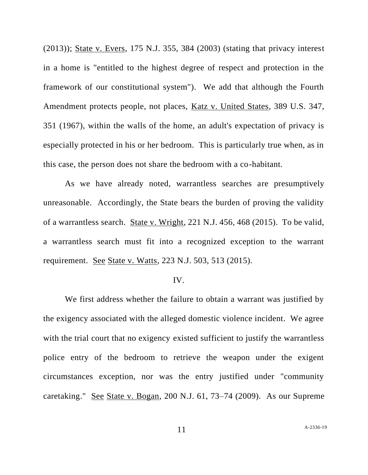(2013)); State v. Evers, 175 N.J. 355, 384 (2003) (stating that privacy interest in a home is "entitled to the highest degree of respect and protection in the framework of our constitutional system"). We add that although the Fourth Amendment protects people, not places, Katz v. United States, 389 U.S. 347, 351 (1967), within the walls of the home, an adult's expectation of privacy is especially protected in his or her bedroom. This is particularly true when, as in this case, the person does not share the bedroom with a co-habitant.

As we have already noted, warrantless searches are presumptively unreasonable. Accordingly, the State bears the burden of proving the validity of a warrantless search. State v. Wright, 221 N.J. 456, 468 (2015). To be valid, a warrantless search must fit into a recognized exception to the warrant requirement. See State v. Watts, 223 N.J. 503, 513 (2015).

### IV.

We first address whether the failure to obtain a warrant was justified by the exigency associated with the alleged domestic violence incident. We agree with the trial court that no exigency existed sufficient to justify the warrantless police entry of the bedroom to retrieve the weapon under the exigent circumstances exception, nor was the entry justified under "community caretaking." See State v. Bogan, 200 N.J. 61, 73–74 (2009). As our Supreme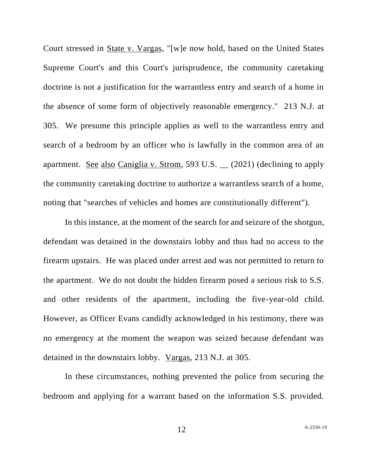Court stressed in State v. Vargas, "[w]e now hold, based on the United States Supreme Court's and this Court's jurisprudence, the community caretaking doctrine is not a justification for the warrantless entry and search of a home in the absence of some form of objectively reasonable emergency." 213 N.J. at 305. We presume this principle applies as well to the warrantless entry and search of a bedroom by an officer who is lawfully in the common area of an apartment. See also Caniglia v. Strom, 593 U.S. \_\_ (2021) (declining to apply the community caretaking doctrine to authorize a warrantless search of a home, noting that "searches of vehicles and homes are constitutionally different").

In this instance, at the moment of the search for and seizure of the shotgun, defendant was detained in the downstairs lobby and thus had no access to the firearm upstairs. He was placed under arrest and was not permitted to return to the apartment. We do not doubt the hidden firearm posed a serious risk to S.S. and other residents of the apartment, including the five-year-old child. However, as Officer Evans candidly acknowledged in his testimony, there was no emergency at the moment the weapon was seized because defendant was detained in the downstairs lobby. Vargas, 213 N.J. at 305.

In these circumstances, nothing prevented the police from securing the bedroom and applying for a warrant based on the information S.S. provided.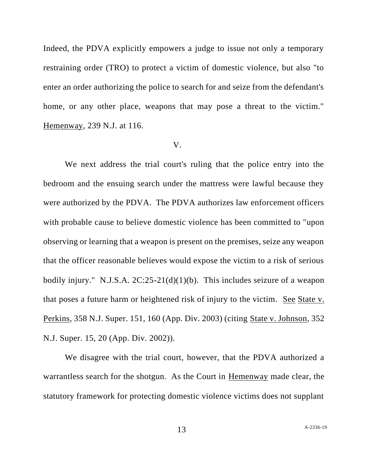Indeed, the PDVA explicitly empowers a judge to issue not only a temporary restraining order (TRO) to protect a victim of domestic violence, but also "to enter an order authorizing the police to search for and seize from the defendant's home, or any other place, weapons that may pose a threat to the victim." Hemenway, 239 N.J. at 116.

#### V.

We next address the trial court's ruling that the police entry into the bedroom and the ensuing search under the mattress were lawful because they were authorized by the PDVA. The PDVA authorizes law enforcement officers with probable cause to believe domestic violence has been committed to "upon observing or learning that a weapon is present on the premises, seize any weapon that the officer reasonable believes would expose the victim to a risk of serious bodily injury." N.J.S.A.  $2C:25-21(d)(1)(b)$ . This includes seizure of a weapon that poses a future harm or heightened risk of injury to the victim. See State v. Perkins, 358 N.J. Super. 151, 160 (App. Div. 2003) (citing State v. Johnson, 352 N.J. Super. 15, 20 (App. Div. 2002)).

We disagree with the trial court, however, that the PDVA authorized a warrantless search for the shotgun. As the Court in Hemenway made clear, the statutory framework for protecting domestic violence victims does not supplant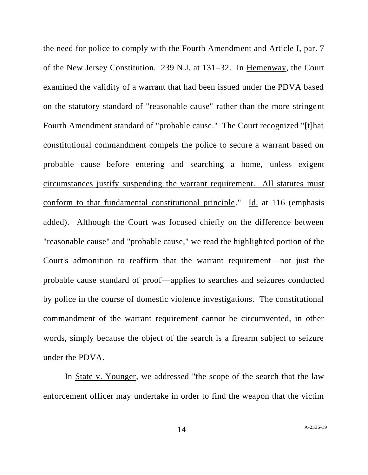the need for police to comply with the Fourth Amendment and Article I, par. 7 of the New Jersey Constitution. 239 N.J. at 131–32. In Hemenway, the Court examined the validity of a warrant that had been issued under the PDVA based on the statutory standard of "reasonable cause" rather than the more stringent Fourth Amendment standard of "probable cause." The Court recognized "[t]hat constitutional commandment compels the police to secure a warrant based on probable cause before entering and searching a home, unless exigent circumstances justify suspending the warrant requirement. All statutes must conform to that fundamental constitutional principle." Id. at 116 (emphasis added). Although the Court was focused chiefly on the difference between "reasonable cause" and "probable cause," we read the highlighted portion of the Court's admonition to reaffirm that the warrant requirement—not just the probable cause standard of proof—applies to searches and seizures conducted by police in the course of domestic violence investigations. The constitutional commandment of the warrant requirement cannot be circumvented, in other words, simply because the object of the search is a firearm subject to seizure under the PDVA.

In State v. Younger, we addressed "the scope of the search that the law enforcement officer may undertake in order to find the weapon that the victim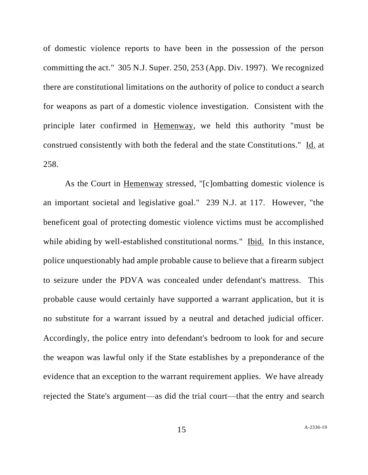of domestic violence reports to have been in the possession of the person committing the act." 305 N.J. Super. 250, 253 (App. Div. 1997). We recognized there are constitutional limitations on the authority of police to conduct a search for weapons as part of a domestic violence investigation. Consistent with the principle later confirmed in Hemenway, we held this authority "must be construed consistently with both the federal and the state Constitutions." Id. at 258.

As the Court in Hemenway stressed, "[c]ombatting domestic violence is an important societal and legislative goal." 239 N.J. at 117. However, "the beneficent goal of protecting domestic violence victims must be accomplished while abiding by well-established constitutional norms." Ibid. In this instance, police unquestionably had ample probable cause to believe that a firearm subject to seizure under the PDVA was concealed under defendant's mattress. This probable cause would certainly have supported a warrant application, but it is no substitute for a warrant issued by a neutral and detached judicial officer. Accordingly, the police entry into defendant's bedroom to look for and secure the weapon was lawful only if the State establishes by a preponderance of the evidence that an exception to the warrant requirement applies. We have already rejected the State's argument—as did the trial court—that the entry and search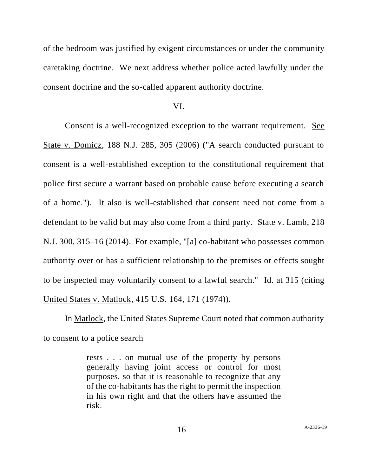of the bedroom was justified by exigent circumstances or under the community caretaking doctrine. We next address whether police acted lawfully under the consent doctrine and the so-called apparent authority doctrine.

## VI.

Consent is a well-recognized exception to the warrant requirement. See State v. Domicz, 188 N.J. 285, 305 (2006) ("A search conducted pursuant to consent is a well-established exception to the constitutional requirement that police first secure a warrant based on probable cause before executing a search of a home."). It also is well-established that consent need not come from a defendant to be valid but may also come from a third party. State v. Lamb, 218 N.J. 300, 315–16 (2014). For example, "[a] co-habitant who possesses common authority over or has a sufficient relationship to the premises or effects sought to be inspected may voluntarily consent to a lawful search." Id. at 315 (citing United States v. Matlock, 415 U.S. 164, 171 (1974)).

In Matlock, the United States Supreme Court noted that common authority to consent to a police search

> rests . . . on mutual use of the property by persons generally having joint access or control for most purposes, so that it is reasonable to recognize that any of the co-habitants has the right to permit the inspection in his own right and that the others have assumed the risk.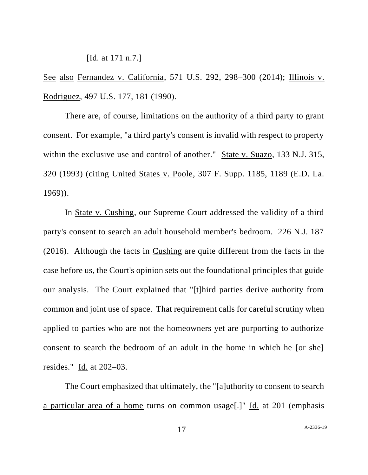[Id. at 171 n.7.]

See also Fernandez v. California, 571 U.S. 292, 298–300 (2014); Illinois v. Rodriguez, 497 U.S. 177, 181 (1990).

There are, of course, limitations on the authority of a third party to grant consent. For example, "a third party's consent is invalid with respect to property within the exclusive use and control of another." State v. Suazo, 133 N.J. 315, 320 (1993) (citing United States v. Poole, 307 F. Supp. 1185, 1189 (E.D. La. 1969)).

In State v. Cushing, our Supreme Court addressed the validity of a third party's consent to search an adult household member's bedroom. 226 N.J. 187 (2016). Although the facts in Cushing are quite different from the facts in the case before us, the Court's opinion sets out the foundational principles that guide our analysis. The Court explained that "[t]hird parties derive authority from common and joint use of space. That requirement calls for careful scrutiny when applied to parties who are not the homeowners yet are purporting to authorize consent to search the bedroom of an adult in the home in which he [or she] resides." Id. at 202–03.

The Court emphasized that ultimately, the "[a]uthority to consent to search a particular area of a home turns on common usage[.]" Id. at 201 (emphasis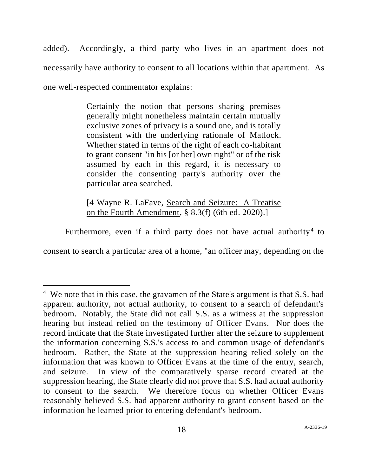added). Accordingly, a third party who lives in an apartment does not necessarily have authority to consent to all locations within that apartment. As one well-respected commentator explains:

> Certainly the notion that persons sharing premises generally might nonetheless maintain certain mutually exclusive zones of privacy is a sound one, and is totally consistent with the underlying rationale of Matlock. Whether stated in terms of the right of each co-habitant to grant consent "in his [or her] own right" or of the risk assumed by each in this regard, it is necessary to consider the consenting party's authority over the particular area searched.

> [4 Wayne R. LaFave, Search and Seizure: A Treatise on the Fourth Amendment, § 8.3(f) (6th ed. 2020).]

Furthermore, even if a third party does not have actual authority<sup>4</sup> to

consent to search a particular area of a home, "an officer may, depending on the

<sup>&</sup>lt;sup>4</sup> We note that in this case, the gravamen of the State's argument is that S.S. had apparent authority, not actual authority, to consent to a search of defendant's bedroom. Notably, the State did not call S.S. as a witness at the suppression hearing but instead relied on the testimony of Officer Evans. Nor does the record indicate that the State investigated further after the seizure to supplement the information concerning S.S.'s access to and common usage of defendant's bedroom. Rather, the State at the suppression hearing relied solely on the information that was known to Officer Evans at the time of the entry, search, and seizure. In view of the comparatively sparse record created at the suppression hearing, the State clearly did not prove that S.S. had actual authority to consent to the search. We therefore focus on whether Officer Evans reasonably believed S.S. had apparent authority to grant consent based on the information he learned prior to entering defendant's bedroom.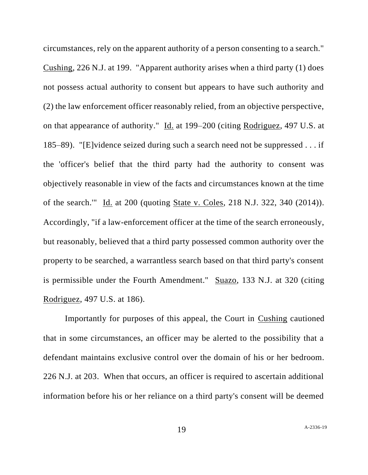circumstances, rely on the apparent authority of a person consenting to a search." Cushing, 226 N.J. at 199. "Apparent authority arises when a third party (1) does not possess actual authority to consent but appears to have such authority and (2) the law enforcement officer reasonably relied, from an objective perspective, on that appearance of authority." Id. at 199–200 (citing Rodriguez, 497 U.S. at 185–89). "[E]vidence seized during such a search need not be suppressed . . . if the 'officer's belief that the third party had the authority to consent was objectively reasonable in view of the facts and circumstances known at the time of the search.'" Id. at 200 (quoting State v. Coles, 218 N.J. 322, 340 (2014)). Accordingly, "if a law-enforcement officer at the time of the search erroneously, but reasonably, believed that a third party possessed common authority over the property to be searched, a warrantless search based on that third party's consent is permissible under the Fourth Amendment." Suazo, 133 N.J. at 320 (citing Rodriguez, 497 U.S. at 186).

Importantly for purposes of this appeal, the Court in Cushing cautioned that in some circumstances, an officer may be alerted to the possibility that a defendant maintains exclusive control over the domain of his or her bedroom. 226 N.J. at 203. When that occurs, an officer is required to ascertain additional information before his or her reliance on a third party's consent will be deemed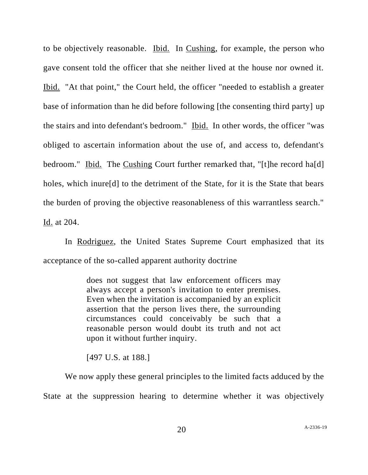to be objectively reasonable. Ibid. In Cushing, for example, the person who gave consent told the officer that she neither lived at the house nor owned it. Ibid. "At that point," the Court held, the officer "needed to establish a greater base of information than he did before following [the consenting third party] up the stairs and into defendant's bedroom." Ibid. In other words, the officer "was obliged to ascertain information about the use of, and access to, defendant's bedroom." Ibid. The Cushing Court further remarked that, "[t]he record ha[d] holes, which inure<sup>[d]</sup> to the detriment of the State, for it is the State that bears the burden of proving the objective reasonableness of this warrantless search." Id. at 204.

In Rodriguez, the United States Supreme Court emphasized that its acceptance of the so-called apparent authority doctrine

> does not suggest that law enforcement officers may always accept a person's invitation to enter premises. Even when the invitation is accompanied by an explicit assertion that the person lives there, the surrounding circumstances could conceivably be such that a reasonable person would doubt its truth and not act upon it without further inquiry.

[497 U.S. at 188.]

We now apply these general principles to the limited facts adduced by the State at the suppression hearing to determine whether it was objectively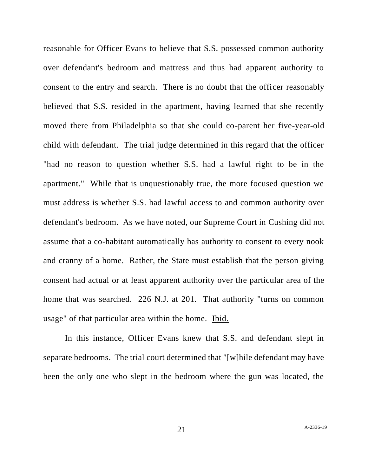reasonable for Officer Evans to believe that S.S. possessed common authority over defendant's bedroom and mattress and thus had apparent authority to consent to the entry and search. There is no doubt that the officer reasonably believed that S.S. resided in the apartment, having learned that she recently moved there from Philadelphia so that she could co-parent her five-year-old child with defendant. The trial judge determined in this regard that the officer "had no reason to question whether S.S. had a lawful right to be in the apartment." While that is unquestionably true, the more focused question we must address is whether S.S. had lawful access to and common authority over defendant's bedroom. As we have noted, our Supreme Court in Cushing did not assume that a co-habitant automatically has authority to consent to every nook and cranny of a home. Rather, the State must establish that the person giving consent had actual or at least apparent authority over the particular area of the home that was searched. 226 N.J. at 201. That authority "turns on common usage" of that particular area within the home. Ibid.

In this instance, Officer Evans knew that S.S. and defendant slept in separate bedrooms. The trial court determined that "[w]hile defendant may have been the only one who slept in the bedroom where the gun was located, the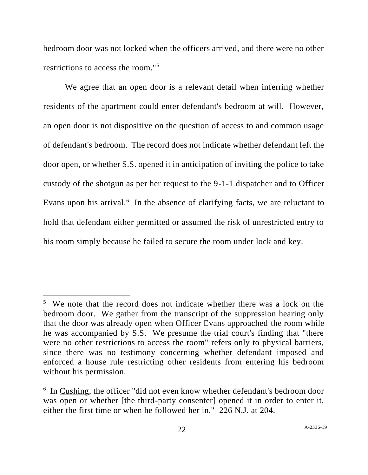bedroom door was not locked when the officers arrived, and there were no other restrictions to access the room."<sup>5</sup>

We agree that an open door is a relevant detail when inferring whether residents of the apartment could enter defendant's bedroom at will. However, an open door is not dispositive on the question of access to and common usage of defendant's bedroom. The record does not indicate whether defendant left the door open, or whether S.S. opened it in anticipation of inviting the police to take custody of the shotgun as per her request to the 9-1-1 dispatcher and to Officer Evans upon his arrival.<sup>6</sup> In the absence of clarifying facts, we are reluctant to hold that defendant either permitted or assumed the risk of unrestricted entry to his room simply because he failed to secure the room under lock and key.

<sup>&</sup>lt;sup>5</sup> We note that the record does not indicate whether there was a lock on the bedroom door. We gather from the transcript of the suppression hearing only that the door was already open when Officer Evans approached the room while he was accompanied by S.S. We presume the trial court's finding that "there were no other restrictions to access the room" refers only to physical barriers, since there was no testimony concerning whether defendant imposed and enforced a house rule restricting other residents from entering his bedroom without his permission.

<sup>&</sup>lt;sup>6</sup> In Cushing, the officer "did not even know whether defendant's bedroom door was open or whether [the third-party consenter] opened it in order to enter it, either the first time or when he followed her in." 226 N.J. at 204.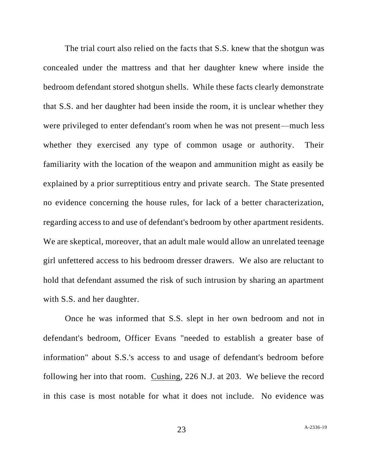The trial court also relied on the facts that S.S. knew that the shotgun was concealed under the mattress and that her daughter knew where inside the bedroom defendant stored shotgun shells. While these facts clearly demonstrate that S.S. and her daughter had been inside the room, it is unclear whether they were privileged to enter defendant's room when he was not present—much less whether they exercised any type of common usage or authority. Their familiarity with the location of the weapon and ammunition might as easily be explained by a prior surreptitious entry and private search. The State presented no evidence concerning the house rules, for lack of a better characterization, regarding access to and use of defendant's bedroom by other apartment residents. We are skeptical, moreover, that an adult male would allow an unrelated teenage girl unfettered access to his bedroom dresser drawers. We also are reluctant to hold that defendant assumed the risk of such intrusion by sharing an apartment with S.S. and her daughter.

Once he was informed that S.S. slept in her own bedroom and not in defendant's bedroom, Officer Evans "needed to establish a greater base of information" about S.S.'s access to and usage of defendant's bedroom before following her into that room. Cushing, 226 N.J. at 203. We believe the record in this case is most notable for what it does not include. No evidence was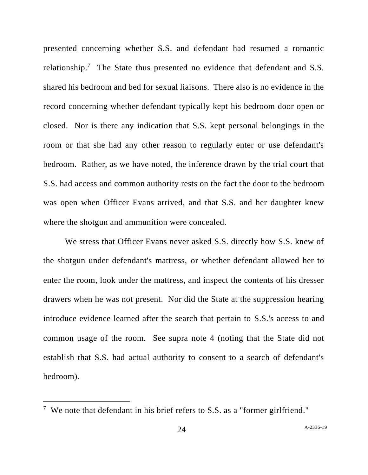presented concerning whether S.S. and defendant had resumed a romantic relationship.<sup>7</sup> The State thus presented no evidence that defendant and S.S. shared his bedroom and bed for sexual liaisons. There also is no evidence in the record concerning whether defendant typically kept his bedroom door open or closed. Nor is there any indication that S.S. kept personal belongings in the room or that she had any other reason to regularly enter or use defendant's bedroom. Rather, as we have noted, the inference drawn by the trial court that S.S. had access and common authority rests on the fact the door to the bedroom was open when Officer Evans arrived, and that S.S. and her daughter knew where the shotgun and ammunition were concealed.

We stress that Officer Evans never asked S.S. directly how S.S. knew of the shotgun under defendant's mattress, or whether defendant allowed her to enter the room, look under the mattress, and inspect the contents of his dresser drawers when he was not present. Nor did the State at the suppression hearing introduce evidence learned after the search that pertain to S.S.'s access to and common usage of the room. See supra note 4 (noting that the State did not establish that S.S. had actual authority to consent to a search of defendant's bedroom).

<sup>&</sup>lt;sup>7</sup> We note that defendant in his brief refers to S.S. as a "former girlfriend."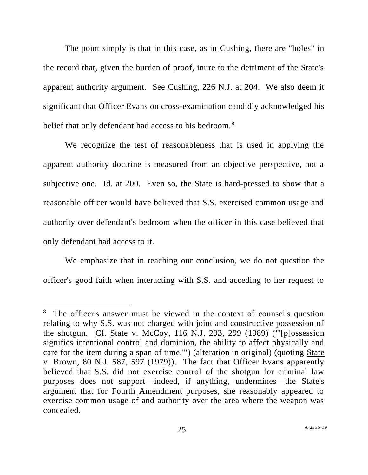The point simply is that in this case, as in Cushing, there are "holes" in the record that, given the burden of proof, inure to the detriment of the State's apparent authority argument. See Cushing, 226 N.J. at 204. We also deem it significant that Officer Evans on cross-examination candidly acknowledged his belief that only defendant had access to his bedroom.<sup>8</sup>

We recognize the test of reasonableness that is used in applying the apparent authority doctrine is measured from an objective perspective, not a subjective one. Id. at 200. Even so, the State is hard-pressed to show that a reasonable officer would have believed that S.S. exercised common usage and authority over defendant's bedroom when the officer in this case believed that only defendant had access to it.

We emphasize that in reaching our conclusion, we do not question the officer's good faith when interacting with S.S. and acceding to her request to

<sup>&</sup>lt;sup>8</sup> The officer's answer must be viewed in the context of counsel's question relating to why S.S. was not charged with joint and constructive possession of the shotgun. Cf. State v. McCoy, 116 N.J. 293, 299 (1989) ("'[p]ossession signifies intentional control and dominion, the ability to affect physically and care for the item during a span of time.'") (alteration in original) (quoting State v. Brown, 80 N.J. 587, 597 (1979)). The fact that Officer Evans apparently believed that S.S. did not exercise control of the shotgun for criminal law purposes does not support—indeed, if anything, undermines—the State's argument that for Fourth Amendment purposes, she reasonably appeared to exercise common usage of and authority over the area where the weapon was concealed.